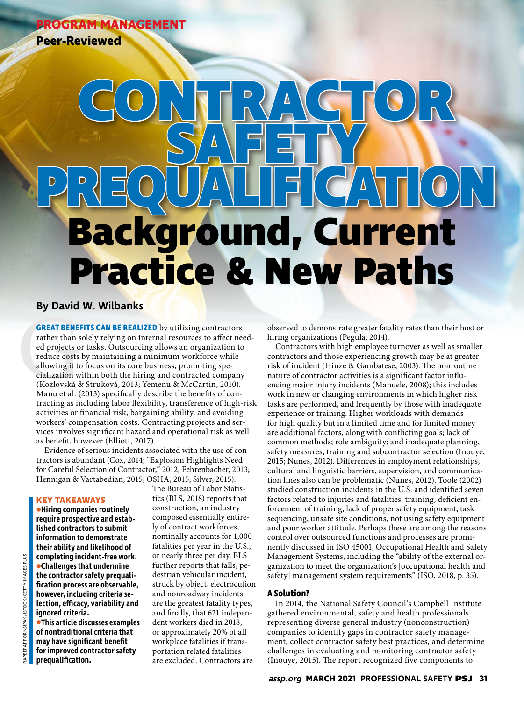**PROGRAM MANAGEMENT**

**Peer-Reviewed**

# **Background, Current Practice & New Paths CONTRACTOR SAFETY PREQUALIFICATION**

## **By David W. Wilbanks**

**GREAT BENE**<br>rather than s<br>ed projects o<br>reduce costs<br>allowing it to<br>cialization w<br>(Kozlovská &<br>Manu et al. ( **GREAT BENEFITS CAN BE REALIZED** by utilizing contractors rather than solely relying on internal resources to affect needed projects or tasks. Outsourcing allows an organization to reduce costs by maintaining a minimum workforce while allowing it to focus on its core business, promoting specialization within both the hiring and contracted company (Kozlovská & Struková, 2013; Yemenu & McCartin, 2010). Manu et al. (2013) specifically describe the benefits of contracting as including labor flexibility, transference of high-risk activities or financial risk, bargaining ability, and avoiding workers' compensation costs. Contracting projects and services involves significant hazard and operational risk as well as benefit, however (Elliott, 2017).

Evidence of serious incidents associated with the use of contractors is abundant (Cox, 2014; "Explosion Highlights Need for Careful Selection of Contractor," 2012; Fehrenbacher, 2013; Hennigan & Vartabedian, 2015; OSHA, 2015; Silver, 2015).

#### **KEY TAKEAWAYS**

**•Hiring companies routinely require prospective and established contractors to submit information to demonstrate their ability and likelihood of completing incident-free work. •Challenges that undermine the contractor safety prequalification process are observable, however, including criteria selection, efficacy, variability and ignored criteria.**

**•This article discusses examples of nontraditional criteria that may have significant benefit for improved contractor safety prequalification.**

The Bureau of Labor Statistics (BLS, 2018) reports that construction, an industry composed essentially entirely of contract workforces, nominally accounts for 1,000 fatalities per year in the U.S., or nearly three per day. BLS further reports that falls, pedestrian vehicular incident, struck by object, electrocution and nonroadway incidents are the greatest fatality types, and finally, that 621 independent workers died in 2018, or approximately 20% of all workplace fatalities if transportation related fatalities are excluded. Contractors are

observed to demonstrate greater fatality rates than their host or hiring organizations (Pegula, 2014).

Contractors with high employee turnover as well as smaller contractors and those experiencing growth may be at greater risk of incident (Hinze & Gambatese, 2003). The nonroutine nature of contractor activities is a significant factor influencing major injury incidents (Manuele, 2008); this includes work in new or changing environments in which higher risk tasks are performed, and frequently by those with inadequate experience or training. Higher workloads with demands for high quality but in a limited time and for limited money are additional factors, along with conflicting goals; lack of common methods; role ambiguity; and inadequate planning, safety measures, training and subcontractor selection (Inouye, 2015; Nunes, 2012). Differences in employment relationships, cultural and linguistic barriers, supervision, and communication lines also can be problematic (Nunes, 2012). Toole (2002) studied construction incidents in the U.S. and identified seven factors related to injuries and fatalities: training, deficient enforcement of training, lack of proper safety equipment, task sequencing, unsafe site conditions, not using safety equipment and poor worker attitude. Perhaps these are among the reasons control over outsourced functions and processes are prominently discussed in ISO 45001, Occupational Health and Safety Management Systems, including the "ability of the external organization to meet the organization's [occupational health and safety] management system requirements" (ISO, 2018, p. 35).

#### **A Solution?**

In 2014, the National Safety Council's Campbell Institute gathered environmental, safety and health professionals representing diverse general industry (nonconstruction) companies to identify gaps in contractor safety management, collect contractor safety best practices, and determine challenges in evaluating and monitoring contractor safety (Inouye, 2015). The report recognized five components to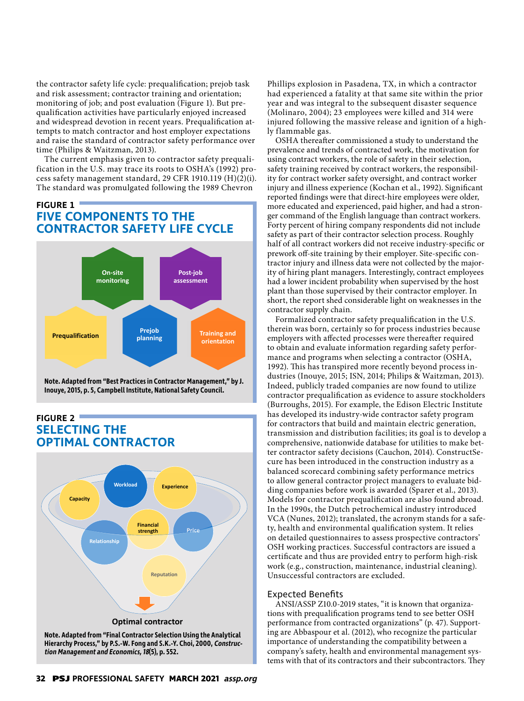the contractor safety life cycle: prequalification; prejob task and risk assessment; contractor training and orientation; monitoring of job; and post evaluation (Figure 1). But prequalification activities have particularly enjoyed increased and widespread devotion in recent years. Prequalification attempts to match contractor and host employer expectations and raise the standard of contractor safety performance over time (Philips & Waitzman, 2013).

The current emphasis given to contractor safety prequalification in the U.S. may trace its roots to OSHA's (1992) process safety management standard, 29 CFR 1910.119 (H)(2)(i). The standard was promulgated following the 1989 Chevron

# **FIGURE 1 FIVE COMPONENTS TO THE CONTRACTOR SAFETY LIFE CYCLE**



**Note. Adapted from "Best Practices in Contractor Management," by J. Inouye, 2015, p. 5, Campbell Institute, National Safety Council.** 

# **FIGURE 2 SELECTING THE OPTIMAL CONTRACTOR**



**tion Management and Economics, 18(5), p. 552.** 

Phillips explosion in Pasadena, TX, in which a contractor had experienced a fatality at that same site within the prior year and was integral to the subsequent disaster sequence (Molinaro, 2004); 23 employees were killed and 314 were injured following the massive release and ignition of a highly flammable gas.

OSHA thereafter commissioned a study to understand the prevalence and trends of contracted work, the motivation for using contract workers, the role of safety in their selection, safety training received by contract workers, the responsibility for contract worker safety oversight, and contract worker injury and illness experience (Kochan et al., 1992). Significant reported findings were that direct-hire employees were older, more educated and experienced, paid higher, and had a stronger command of the English language than contract workers. Forty percent of hiring company respondents did not include safety as part of their contractor selection process. Roughly half of all contract workers did not receive industry-specific or prework off-site training by their employer. Site-specific contractor injury and illness data were not collected by the majority of hiring plant managers. Interestingly, contract employees had a lower incident probability when supervised by the host plant than those supervised by their contractor employer. In short, the report shed considerable light on weaknesses in the contractor supply chain.

Formalized contractor safety prequalification in the U.S. therein was born, certainly so for process industries because employers with affected processes were thereafter required to obtain and evaluate information regarding safety performance and programs when selecting a contractor (OSHA, 1992). This has transpired more recently beyond process industries (Inouye, 2015; ISN, 2014; Philips & Waitzman, 2013). Indeed, publicly traded companies are now found to utilize contractor prequalification as evidence to assure stockholders (Burroughs, 2015). For example, the Edison Electric Institute has developed its industry-wide contractor safety program for contractors that build and maintain electric generation, transmission and distribution facilities; its goal is to develop a comprehensive, nationwide database for utilities to make better contractor safety decisions (Cauchon, 2014). ConstructSecure has been introduced in the construction industry as a balanced scorecard combining safety performance metrics to allow general contractor project managers to evaluate bidding companies before work is awarded (Sparer et al., 2013). Models for contractor prequalification are also found abroad. In the 1990s, the Dutch petrochemical industry introduced VCA (Nunes, 2012); translated, the acronym stands for a safety, health and environmental qualification system. It relies on detailed questionnaires to assess prospective contractors' OSH working practices. Successful contractors are issued a certificate and thus are provided entry to perform high-risk work (e.g., construction, maintenance, industrial cleaning). Unsuccessful contractors are excluded.

#### Expected Benefits

ANSI/ASSP Z10.0-2019 states, "it is known that organizations with prequalification programs tend to see better OSH performance from contracted organizations" (p. 47). Supporting are Abbaspour et al. (2012), who recognize the particular importance of understanding the compatibility between a company's safety, health and environmental management systems with that of its contractors and their subcontractors. They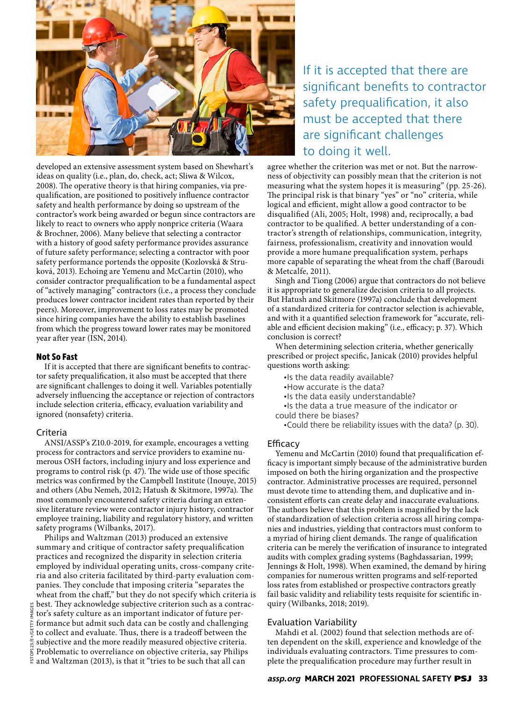

developed an extensive assessment system based on Shewhart's ideas on quality (i.e., plan, do, check, act; Sliwa & Wilcox, 2008). The operative theory is that hiring companies, via prequalification, are positioned to positively influence contractor safety and health performance by doing so upstream of the contractor's work being awarded or begun since contractors are likely to react to owners who apply nonprice criteria (Waara & Brochner, 2006). Many believe that selecting a contractor with a history of good safety performance provides assurance of future safety performance; selecting a contractor with poor safety performance portends the opposite (Kozlovská & Struková, 2013). Echoing are Yemenu and McCartin (2010), who consider contractor prequalification to be a fundamental aspect of "actively managing" contractors (i.e., a process they conclude produces lower contractor incident rates than reported by their peers). Moreover, improvement to loss rates may be promoted since hiring companies have the ability to establish baselines from which the progress toward lower rates may be monitored year after year (ISN, 2014).

#### **Not So Fast**

If it is accepted that there are significant benefits to contractor safety prequalification, it also must be accepted that there are significant challenges to doing it well. Variables potentially adversely influencing the acceptance or rejection of contractors include selection criteria, efficacy, evaluation variability and ignored (nonsafety) criteria.

#### Criteria

FSTOP123/E+/GETTY IMAGES

ANSI/ASSP's Z10.0-2019, for example, encourages a vetting process for contractors and service providers to examine numerous OSH factors, including injury and loss experience and programs to control risk (p. 47). The wide use of those specific metrics was confirmed by the Campbell Institute (Inouye, 2015) and others (Abu Nemeh, 2012; Hatush & Skitmore, 1997a). The most commonly encountered safety criteria during an extensive literature review were contractor injury history, contractor employee training, liability and regulatory history, and written safety programs (Wilbanks, 2017).

Philips and Waltzman (2013) produced an extensive summary and critique of contractor safety prequalification practices and recognized the disparity in selection criteria employed by individual operating units, cross-company criteria and also criteria facilitated by third-party evaluation companies. They conclude that imposing criteria "separates the wheat from the chaff," but they do not specify which criteria is best. They acknowledge subjective criterion such as a contractor's safety culture as an important indicator of future per-È formance but admit such data can be costly and challenging  $\frac{\mathbb{B}}{\mathbb{S}}$  to collect and evaluate. Thus, there is a tradeoff between the subjective and the more readily measured objective criteria.  $p123$ /E Problematic to overreliance on objective criteria, say Philips  $\frac{5}{4}$  and Waltzman (2013), is that it "tries to be such that all can

# If it is accepted that there are significant benefits to contractor safety prequalification, it also must be accepted that there are significant challenges to doing it well.

agree whether the criterion was met or not. But the narrowness of objectivity can possibly mean that the criterion is not measuring what the system hopes it is measuring" (pp. 25-26). The principal risk is that binary "yes" or "no" criteria, while logical and efficient, might allow a good contractor to be disqualified (Ali, 2005; Holt, 1998) and, reciprocally, a bad contractor to be qualified. A better understanding of a contractor's strength of relationships, communication, integrity, fairness, professionalism, creativity and innovation would provide a more humane prequalification system, perhaps more capable of separating the wheat from the chaff (Baroudi & Metcalfe, 2011).

Singh and Tiong (2006) argue that contractors do not believe it is appropriate to generalize decision criteria to all projects. But Hatush and Skitmore (1997a) conclude that development of a standardized criteria for contractor selection is achievable, and with it a quantified selection framework for "accurate, reliable and efficient decision making" (i.e., efficacy; p. 37). Which conclusion is correct?

When determining selection criteria, whether generically prescribed or project specific, Janicak (2010) provides helpful questions worth asking:

- •Is the data readily available?
- •How accurate is the data?
- •Is the data easily understandable?
- •Is the data a true measure of the indicator or could there be biases?
	- •Could there be reliability issues with the data? (p. 30).

#### **Efficacy**

Yemenu and McCartin (2010) found that prequalification efficacy is important simply because of the administrative burden imposed on both the hiring organization and the prospective contractor. Administrative processes are required, personnel must devote time to attending them, and duplicative and inconsistent efforts can create delay and inaccurate evaluations. The authors believe that this problem is magnified by the lack of standardization of selection criteria across all hiring companies and industries, yielding that contractors must conform to a myriad of hiring client demands. The range of qualification criteria can be merely the verification of insurance to integrated audits with complex grading systems (Baghdassarian, 1999; Jennings & Holt, 1998). When examined, the demand by hiring companies for numerous written programs and self-reported loss rates from established or prospective contractors greatly fail basic validity and reliability tests requisite for scientific inquiry (Wilbanks, 2018; 2019).

### Evaluation Variability

Mahdi et al. (2002) found that selection methods are often dependent on the skill, experience and knowledge of the individuals evaluating contractors. Time pressures to complete the prequalification procedure may further result in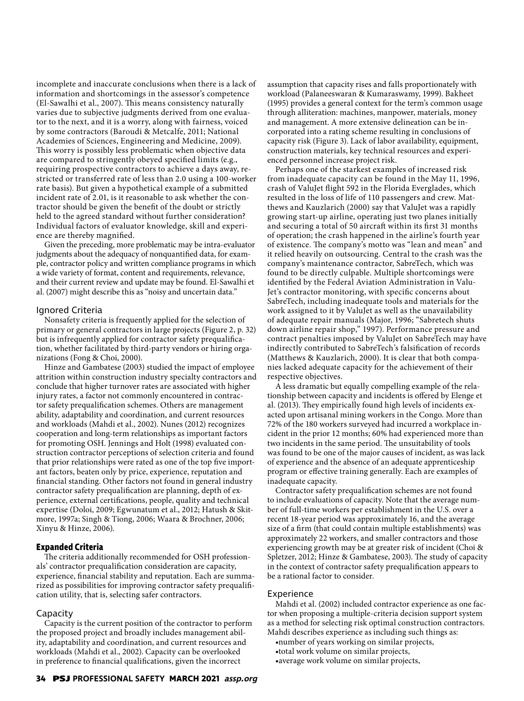incomplete and inaccurate conclusions when there is a lack of information and shortcomings in the assessor's competence (El-Sawalhi et al., 2007). This means consistency naturally varies due to subjective judgments derived from one evaluator to the next, and it is a worry, along with fairness, voiced by some contractors (Baroudi & Metcalfe, 2011; National Academies of Sciences, Engineering and Medicine, 2009). This worry is possibly less problematic when objective data are compared to stringently obeyed specified limits (e.g., requiring prospective contractors to achieve a days away, restricted or transferred rate of less than 2.0 using a 100-worker rate basis). But given a hypothetical example of a submitted incident rate of 2.01, is it reasonable to ask whether the contractor should be given the benefit of the doubt or strictly held to the agreed standard without further consideration? Individual factors of evaluator knowledge, skill and experience are thereby magnified.

Given the preceding, more problematic may be intra-evaluator judgments about the adequacy of nonquantified data, for example, contractor policy and written compliance programs in which a wide variety of format, content and requirements, relevance, and their current review and update may be found. El-Sawalhi et al. (2007) might describe this as "noisy and uncertain data."

#### Ignored Criteria

Nonsafety criteria is frequently applied for the selection of primary or general contractors in large projects (Figure 2, p. 32) but is infrequently applied for contractor safety prequalification, whether facilitated by third-party vendors or hiring organizations (Fong & Choi, 2000).

Hinze and Gambatese (2003) studied the impact of employee attrition within construction industry specialty contractors and conclude that higher turnover rates are associated with higher injury rates, a factor not commonly encountered in contractor safety prequalification schemes. Others are management ability, adaptability and coordination, and current resources and workloads (Mahdi et al., 2002). Nunes (2012) recognizes cooperation and long-term relationships as important factors for promoting OSH. Jennings and Holt (1998) evaluated construction contractor perceptions of selection criteria and found that prior relationships were rated as one of the top five important factors, beaten only by price, experience, reputation and financial standing. Other factors not found in general industry contractor safety prequalification are planning, depth of experience, external certifications, people, quality and technical expertise (Doloi, 2009; Egwunatum et al., 2012; Hatush & Skitmore, 1997a; Singh & Tiong, 2006; Waara & Brochner, 2006; Xinyu & Hinze, 2006).

#### **Expanded Criteria**

The criteria additionally recommended for OSH professionals' contractor prequalification consideration are capacity, experience, financial stability and reputation. Each are summarized as possibilities for improving contractor safety prequalification utility, that is, selecting safer contractors.

#### Capacity

Capacity is the current position of the contractor to perform the proposed project and broadly includes management ability, adaptability and coordination, and current resources and workloads (Mahdi et al., 2002). Capacity can be overlooked in preference to financial qualifications, given the incorrect

assumption that capacity rises and falls proportionately with workload (Palaneeswaran & Kumaraswamy, 1999). Bakheet (1995) provides a general context for the term's common usage through alliteration: machines, manpower, materials, money and management. A more extensive delineation can be incorporated into a rating scheme resulting in conclusions of capacity risk (Figure 3). Lack of labor availability, equipment, construction materials, key technical resources and experienced personnel increase project risk.

Perhaps one of the starkest examples of increased risk from inadequate capacity can be found in the May 11, 1996, crash of ValuJet flight 592 in the Florida Everglades, which resulted in the loss of life of 110 passengers and crew. Matthews and Kauzlarich (2000) say that ValuJet was a rapidly growing start-up airline, operating just two planes initially and securing a total of 50 aircraft within its first 31 months of operation; the crash happened in the airline's fourth year of existence. The company's motto was "lean and mean" and it relied heavily on outsourcing. Central to the crash was the company's maintenance contractor, SabreTech, which was found to be directly culpable. Multiple shortcomings were identified by the Federal Aviation Administration in Valu-Jet's contractor monitoring, with specific concerns about SabreTech, including inadequate tools and materials for the work assigned to it by ValuJet as well as the unavailability of adequate repair manuals (Major, 1996; "Sabretech shuts down airline repair shop," 1997). Performance pressure and contract penalties imposed by ValuJet on SabreTech may have indirectly contributed to SabreTech's falsification of records (Matthews & Kauzlarich, 2000). It is clear that both companies lacked adequate capacity for the achievement of their respective objectives.

A less dramatic but equally compelling example of the relationship between capacity and incidents is offered by Elenge et al. (2013). They empirically found high levels of incidents exacted upon artisanal mining workers in the Congo. More than 72% of the 180 workers surveyed had incurred a workplace incident in the prior 12 months; 60% had experienced more than two incidents in the same period. The unsuitability of tools was found to be one of the major causes of incident, as was lack of experience and the absence of an adequate apprenticeship program or effective training generally. Each are examples of inadequate capacity.

Contractor safety prequalification schemes are not found to include evaluations of capacity. Note that the average number of full-time workers per establishment in the U.S. over a recent 18-year period was approximately 16, and the average size of a firm (that could contain multiple establishments) was approximately 22 workers, and smaller contractors and those experiencing growth may be at greater risk of incident (Choi & Spletzer, 2012; Hinze & Gambatese, 2003). The study of capacity in the context of contractor safety prequalification appears to be a rational factor to consider.

#### Experience

Mahdi et al. (2002) included contractor experience as one factor when proposing a multiple-criteria decision support system as a method for selecting risk optimal construction contractors. Mahdi describes experience as including such things as:

- •number of years working on similar projects,
- •total work volume on similar projects,
- •average work volume on similar projects,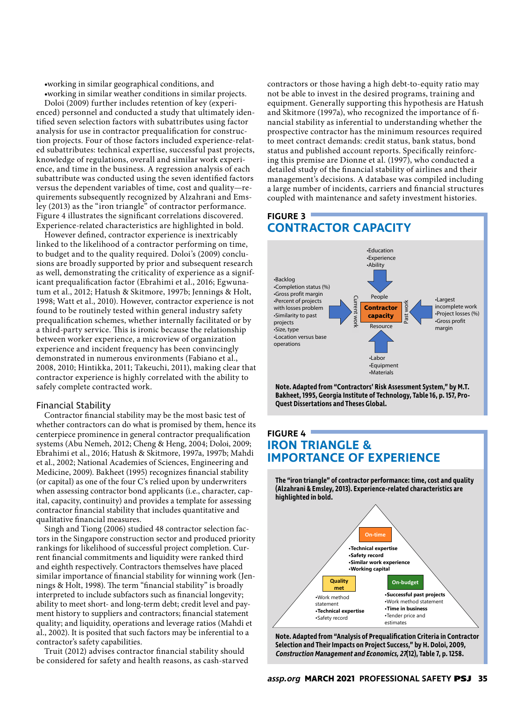•working in similar geographical conditions, and

•working in similar weather conditions in similar projects. Doloi (2009) further includes retention of key (experienced) personnel and conducted a study that ultimately identified seven selection factors with subattributes using factor analysis for use in contractor prequalification for construction projects. Four of those factors included experience-related subattributes: technical expertise, successful past projects, knowledge of regulations, overall and similar work experience, and time in the business. A regression analysis of each subattribute was conducted using the seven identified factors versus the dependent variables of time, cost and quality—requirements subsequently recognized by Alzahrani and Emsley (2013) as the "iron triangle" of contractor performance. Figure 4 illustrates the significant correlations discovered. Experience-related characteristics are highlighted in bold.

However defined, contractor experience is inextricably linked to the likelihood of a contractor performing on time, to budget and to the quality required. Doloi's (2009) conclusions are broadly supported by prior and subsequent research as well, demonstrating the criticality of experience as a significant prequalification factor (Ebrahimi et al., 2016; Egwunatum et al., 2012; Hatush & Skitmore, 1997b; Jennings & Holt, 1998; Watt et al., 2010). However, contractor experience is not found to be routinely tested within general industry safety prequalification schemes, whether internally facilitated or by a third-party service. This is ironic because the relationship between worker experience, a microview of organization experience and incident frequency has been convincingly demonstrated in numerous environments (Fabiano et al., 2008, 2010; Hintikka, 2011; Takeuchi, 2011), making clear that contractor experience is highly correlated with the ability to safely complete contracted work.

#### Financial Stability

Contractor financial stability may be the most basic test of whether contractors can do what is promised by them, hence its centerpiece prominence in general contractor prequalification systems (Abu Nemeh, 2012; Cheng & Heng, 2004; Doloi, 2009; Ebrahimi et al., 2016; Hatush & Skitmore, 1997a, 1997b; Mahdi et al., 2002; National Academies of Sciences, Engineering and Medicine, 2009). Bakheet (1995) recognizes financial stability (or capital) as one of the four C's relied upon by underwriters when assessing contractor bond applicants (i.e., character, capital, capacity, continuity) and provides a template for assessing contractor financial stability that includes quantitative and qualitative financial measures.

Singh and Tiong (2006) studied 48 contractor selection factors in the Singapore construction sector and produced priority rankings for likelihood of successful project completion. Current financial commitments and liquidity were ranked third and eighth respectively. Contractors themselves have placed similar importance of financial stability for winning work (Jennings & Holt, 1998). The term "financial stability" is broadly interpreted to include subfactors such as financial longevity; ability to meet short- and long-term debt; credit level and payment history to suppliers and contractors; financial statement quality; and liquidity, operations and leverage ratios (Mahdi et al., 2002). It is posited that such factors may be inferential to a contractor's safety capabilities.

Truit (2012) advises contractor financial stability should be considered for safety and health reasons, as cash-starved contractors or those having a high debt-to-equity ratio may not be able to invest in the desired programs, training and equipment. Generally supporting this hypothesis are Hatush and Skitmore (1997a), who recognized the importance of financial stability as inferential to understanding whether the prospective contractor has the minimum resources required to meet contract demands: credit status, bank status, bond status and published account reports. Specifically reinforcing this premise are Dionne et al. (1997), who conducted a detailed study of the financial stability of airlines and their management's decisions. A database was compiled including a large number of incidents, carriers and financial structures coupled with maintenance and safety investment histories.

# **FIGURE 3 CONTRACTOR CAPACITY**



**Note. Adapted from "Contractors' Risk Assessment System," by M.T. Bakheet, 1995, Georgia Institute of Technology, Table 16, p. 157, Pro-Quest Dissertations and Theses Global.**

# **FIGURE 4 IRON TRIANGLE & IMPORTANCE OF EXPERIENCE**

**The "iron triangle" of contractor performance: time, cost and quality (Alzahrani & Emsley, 2013). Experience-related characteristics are highlighted in bold.**



**Note. Adapted from "Analysis of Prequalification Criteria in Contractor Selection and Their Impacts on Project Success," by H. Doloi, 2009, Construction Management and Economics, 27(12), Table 7, p. 1258.**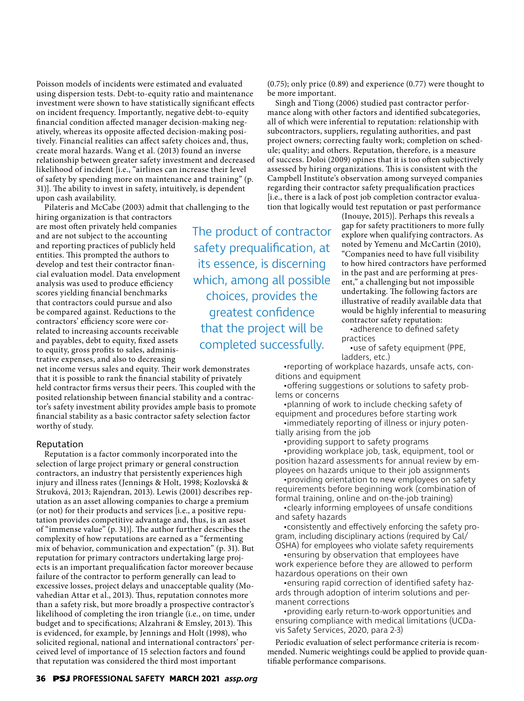Poisson models of incidents were estimated and evaluated using dispersion tests. Debt-to-equity ratio and maintenance investment were shown to have statistically significant effects on incident frequency. Importantly, negative debt-to-equity financial condition affected manager decision-making negatively, whereas its opposite affected decision-making positively. Financial realities can affect safety choices and, thus, create moral hazards. Wang et al. (2013) found an inverse relationship between greater safety investment and decreased likelihood of incident [i.e., "airlines can increase their level of safety by spending more on maintenance and training" (p. 31)]. The ability to invest in safety, intuitively, is dependent upon cash availability.

Pilateris and McCabe (2003) admit that challenging to the

hiring organization is that contractors are most often privately held companies and are not subject to the accounting and reporting practices of publicly held entities. This prompted the authors to develop and test their contractor financial evaluation model. Data envelopment analysis was used to produce efficiency scores yielding financial benchmarks that contractors could pursue and also be compared against. Reductions to the contractors' efficiency score were correlated to increasing accounts receivable and payables, debt to equity, fixed assets to equity, gross profits to sales, administrative expenses, and also to decreasing

net income versus sales and equity. Their work demonstrates that it is possible to rank the financial stability of privately held contractor firms versus their peers. This coupled with the posited relationship between financial stability and a contractor's safety investment ability provides ample basis to promote financial stability as a basic contractor safety selection factor worthy of study.

#### Reputation

Reputation is a factor commonly incorporated into the selection of large project primary or general construction contractors, an industry that persistently experiences high injury and illness rates (Jennings & Holt, 1998; Kozlovská & Struková, 2013; Rajendran, 2013). Lewis (2001) describes reputation as an asset allowing companies to charge a premium (or not) for their products and services [i.e., a positive reputation provides competitive advantage and, thus, is an asset of "immense value" (p. 31)]. The author further describes the complexity of how reputations are earned as a "fermenting mix of behavior, communication and expectation" (p. 31). But reputation for primary contractors undertaking large projects is an important prequalification factor moreover because failure of the contractor to perform generally can lead to excessive losses, project delays and unacceptable quality (Movahedian Attar et al., 2013). Thus, reputation connotes more than a safety risk, but more broadly a prospective contractor's likelihood of completing the iron triangle (i.e., on time, under budget and to specifications; Alzahrani & Emsley, 2013). This is evidenced, for example, by Jennings and Holt (1998), who solicited regional, national and international contractors' perceived level of importance of 15 selection factors and found that reputation was considered the third most important

The product of contractor safety prequalification, at its essence, is discerning which, among all possible choices, provides the greatest confidence that the project will be completed successfully.

(0.75); only price (0.89) and experience (0.77) were thought to be more important.

Singh and Tiong (2006) studied past contractor performance along with other factors and identified subcategories, all of which were inferential to reputation: relationship with subcontractors, suppliers, regulating authorities, and past project owners; correcting faulty work; completion on schedule; quality; and others. Reputation, therefore, is a measure of success. Doloi (2009) opines that it is too often subjectively assessed by hiring organizations. This is consistent with the Campbell Institute's observation among surveyed companies regarding their contractor safety prequalification practices [i.e., there is a lack of post job completion contractor evaluation that logically would test reputation or past performance

> (Inouye, 2015)]. Perhaps this reveals a gap for safety practitioners to more fully explore when qualifying contractors. As noted by Yemenu and McCartin (2010), "Companies need to have full visibility to how hired contractors have performed in the past and are performing at present," a challenging but not impossible undertaking. The following factors are illustrative of readily available data that would be highly inferential to measuring contractor safety reputation:

•adherence to defined safety practices

•use of safety equipment (PPE, ladders, etc.)

•reporting of workplace hazards, unsafe acts, conditions and equipment

•offering suggestions or solutions to safety problems or concerns

•planning of work to include checking safety of equipment and procedures before starting work

•immediately reporting of illness or injury potentially arising from the job

•providing support to safety programs

•providing workplace job, task, equipment, tool or position hazard assessments for annual review by employees on hazards unique to their job assignments

•providing orientation to new employees on safety requirements before beginning work (combination of formal training, online and on-the-job training)

•clearly informing employees of unsafe conditions and safety hazards

•consistently and effectively enforcing the safety program, including disciplinary actions (required by Cal/ OSHA) for employees who violate safety requirements

•ensuring by observation that employees have work experience before they are allowed to perform hazardous operations on their own

•ensuring rapid correction of identified safety hazards through adoption of interim solutions and permanent corrections

•providing early return-to-work opportunities and ensuring compliance with medical limitations (UCDavis Safety Services, 2020, para 2-3)

Periodic evaluation of select performance criteria is recommended. Numeric weightings could be applied to provide quantifiable performance comparisons.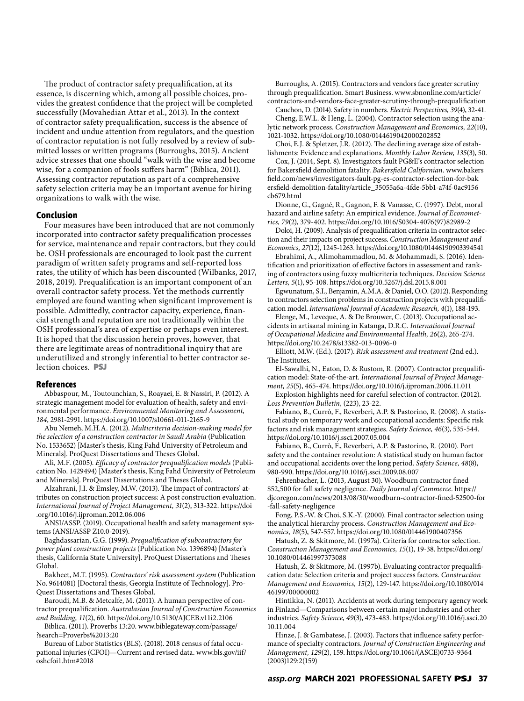The product of contractor safety prequalification, at its essence, is discerning which, among all possible choices, provides the greatest confidence that the project will be completed successfully (Movahedian Attar et al., 2013). In the context of contractor safety prequalification, success is the absence of incident and undue attention from regulators, and the question of contractor reputation is not fully resolved by a review of submitted losses or written programs (Burroughs, 2015). Ancient advice stresses that one should "walk with the wise and become wise, for a companion of fools suffers harm" (Biblica, 2011). Assessing contractor reputation as part of a comprehensive safety selection criteria may be an important avenue for hiring organizations to walk with the wise.

#### **Conclusion**

Four measures have been introduced that are not commonly incorporated into contractor safety prequalification processes for service, maintenance and repair contractors, but they could be. OSH professionals are encouraged to look past the current paradigm of written safety programs and self-reported loss rates, the utility of which has been discounted (Wilbanks, 2017, 2018, 2019). Prequalification is an important component of an overall contractor safety process. Yet the methods currently employed are found wanting when significant improvement is possible. Admittedly, contractor capacity, experience, financial strength and reputation are not traditionally within the OSH professional's area of expertise or perhaps even interest. It is hoped that the discussion herein proves, however, that there are legitimate areas of nontraditional inquiry that are underutilized and strongly inferential to better contractor selection choices. **PSJ**

#### **References**

Abbaspour, M., Toutounchian, S., Roayaei, E. & Nassiri, P. (2012). A strategic management model for evaluation of health, safety and environmental performance. *Environmental Monitoring and Assessment, 184*, 2981-2991. https://doi.org/10.1007/s10661-011-2165-9

Abu Nemeh, M.H.A. (2012). *Multicriteria decision-making model for the selection of a construction contractor in Saudi Arabia* (Publication No. 1533652) [Master's thesis, King Fahd University of Petroleum and Minerals]. ProQuest Dissertations and Theses Global.

Ali, M.F. (2005). *Efficacy of contractor prequalification models* (Publication No. 1429494) [Master's thesis, King Fahd University of Petroleum and Minerals]. ProQuest Dissertations and Theses Global.

Alzahrani, J.I. & Emsley, M.W. (2013). The impact of contractors' attributes on construction project success: A post construction evaluation. *International Journal of Project Management, 31*(2), 313-322. https://doi .org/10.1016/j.ijproman.2012.06.006

ANSI/ASSP. (2019). Occupational health and safety management systems (ANSI/ASSP Z10.0-2019).

Baghdassarian, G.G. (1999). *Prequalification of subcontractors for power plant construction projects* (Publication No. 1396894) [Master's thesis, California State University]. ProQuest Dissertations and Theses Global.

Bakheet, M.T. (1995). *Contractors' risk assessment system* (Publication No. 9614081) [Doctoral thesis, Georgia Institute of Technology]. Pro-Quest Dissertations and Theses Global.

Baroudi, M.B. & Metcalfe, M. (2011). A human perspective of contractor prequalification. *Australasian Journal of Construction Economics and Building, 11*(2), 60. https://doi.org/10.5130/AJCEB.v11i2.2106

Biblica. (2011). Proverbs 13:20. www.biblegateway.com/passage/ ?search=Proverbs%2013:20

Bureau of Labor Statistics (BLS). (2018). 2018 census of fatal occupational injuries (CFOI)—Current and revised data. www.bls.gov/iif/ oshcfoi1.htm#2018

Burroughs, A. (2015). Contractors and vendors face greater scrutiny through prequalification. Smart Business. www.sbnonline.com/article/ contractors-and-vendors-face-greater-scrutiny-through-prequalification

Cauchon, D. (2014). Safety in numbers. *Electric Perspectives, 39*(4), 32-41.

Cheng, E.W.L. & Heng, L. (2004). Contractor selection using the analytic network process. *Construction Management and Economics, 22*(10), 1021-1032. https://doi.org/10.1080/0144619042000202852

Choi, E.J. & Spletzer, J.R. (2012). The declining average size of establishments: Evidence and explanations. *Monthly Labor Review, 135*(3), 50.

Cox, J. (2014, Sept. 8). Investigators fault PG&E's contractor selection for Bakersfield demolition fatality. *Bakersfield Californian*. www.bakers field.com/news/investigators-fault-pg-es-contractor-selection-for-bak ersfield-demolition-fatality/article\_35055a6a-4fde-5bb1-a74f-0ac9156 cb679.html

Dionne, G., Gagné, R., Gagnon, F. & Vanasse, C. (1997). Debt, moral hazard and airline safety: An empirical evidence. *Journal of Econometrics, 79*(2), 379-402. https://doi.org/10.1016/S0304-4076(97)82989-2

Doloi, H. (2009). Analysis of prequalification criteria in contractor selection and their impacts on project success. *Construction Management and Economics, 27*(12), 1245-1263. https://doi.org/10.1080/01446190903394541

Ebrahimi, A., Alimohammadlou, M. & Mohammadi, S. (2016). Identification and prioritization of effective factors in assessment and ranking of contractors using fuzzy multicriteria techniques. *Decision Science Letters, 5*(1), 95-108. https://doi.org/10.5267/j.dsl.2015.8.001

Egwunatum, S.I., Benjamin, A.M.A. & Daniel, O.O. (2012). Responding to contractors selection problems in construction projects with prequalification model. *International Journal of Academic Research, 4*(1), 188-193.

Elenge, M., Leveque, A. & De Brouwer, C. (2013). Occupational accidents in artisanal mining in Katanga, D.R.C. *International Journal of Occupational Medicine and Environmental Health, 26*(2), 265-274. https://doi.org/10.2478/s13382-013-0096-0

Elliott, M.W. (Ed.). (2017). *Risk assessment and treatment* (2nd ed.). The Institutes.

El-Sawalhi, N., Eaton, D. & Rustom, R. (2007). Contractor prequalification model: State-of-the-art. *International Journal of Project Management, 25*(5), 465-474. https://doi.org/10.1016/j.ijproman.2006.11.011

Explosion highlights need for careful selection of contractor. (2012). *Loss Prevention Bulletin,* (223), 23-22.

Fabiano, B., Currò, F., Reverberi, A.P. & Pastorino, R. (2008). A statistical study on temporary work and occupational accidents: Specific risk factors and risk management strategies. *Safety Science, 46*(3), 535-544. https://doi.org/10.1016/j.ssci.2007.05.004

Fabiano, B., Currò, F., Reverberi, A.P. & Pastorino, R. (2010). Port safety and the container revolution: A statistical study on human factor and occupational accidents over the long period. *Safety Science, 48*(8), 980-990. https://doi.org/10.1016/j.ssci.2009.08.007

Fehrenbacher, L. (2013, August 30). Woodburn contractor fined \$52,500 for fall safety negligence. *Daily Journal of Commerce*. https:// djcoregon.com/news/2013/08/30/woodburn-contractor-fined-52500-for -fall-safety-negligence

Fong, P.S.-W. & Choi, S.K.-Y. (2000). Final contractor selection using the analytical hierarchy process. *Construction Management and Economics, 18*(5), 547-557. https://doi.org/10.1080/014461900407356

Hatush, Z. & Skitmore, M. (1997a). Criteria for contractor selection. *Construction Management and Economics, 15*(1), 19-38. https://doi.org/ 10.1080/014461997373088

Hatush, Z. & Skitmore, M. (1997b). Evaluating contractor prequalification data: Selection criteria and project success factors. *Construction Management and Economics, 15*(2), 129-147. https://doi.org/10.1080/014 46199700000002

Hintikka, N. (2011). Accidents at work during temporary agency work in Finland—Comparisons between certain major industries and other industries. *Safety Science, 49*(3), 473-483. https://doi.org/10.1016/j.ssci.20 10.11.004

Hinze, J. & Gambatese, J. (2003). Factors that influence safety performance of specialty contractors. *Journal of Construction Engineering and Management, 129*(2), 159. https://doi.org/10.1061/(ASCE)0733-9364 (2003)129:2(159)